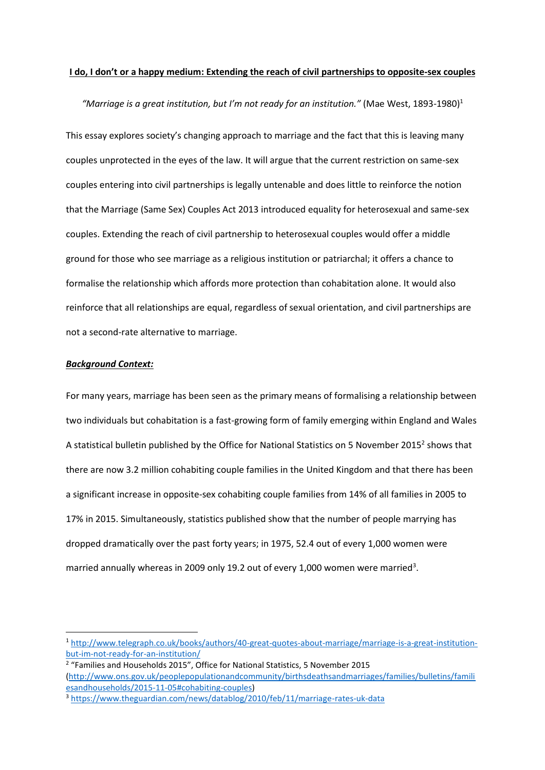### **I do, I don't or a happy medium: Extending the reach of civil partnerships to opposite-sex couples**

"Marriage is a great institution, but I'm not ready for an institution." (Mae West,  $1893-1980$ )<sup>1</sup>

This essay explores society's changing approach to marriage and the fact that this is leaving many couples unprotected in the eyes of the law. It will argue that the current restriction on same-sex couples entering into civil partnerships is legally untenable and does little to reinforce the notion that the Marriage (Same Sex) Couples Act 2013 introduced equality for heterosexual and same-sex couples. Extending the reach of civil partnership to heterosexual couples would offer a middle ground for those who see marriage as a religious institution or patriarchal; it offers a chance to formalise the relationship which affords more protection than cohabitation alone. It would also reinforce that all relationships are equal, regardless of sexual orientation, and civil partnerships are not a second-rate alternative to marriage.

### *Background Context:*

**.** 

For many years, marriage has been seen as the primary means of formalising a relationship between two individuals but cohabitation is a fast-growing form of family emerging within England and Wales A statistical bulletin published by the Office for National Statistics on 5 November 2015<sup>2</sup> shows that there are now 3.2 million cohabiting couple families in the United Kingdom and that there has been a significant increase in opposite-sex cohabiting couple families from 14% of all families in 2005 to 17% in 2015. Simultaneously, statistics published show that the number of people marrying has dropped dramatically over the past forty years; in 1975, 52.4 out of every 1,000 women were married annually whereas in 2009 only 19.2 out of every 1,000 women were married<sup>3</sup>.

<sup>1</sup> [http://www.telegraph.co.uk/books/authors/40-great-quotes-about-marriage/marriage-is-a-great-institution](http://www.telegraph.co.uk/books/authors/40-great-quotes-about-marriage/marriage-is-a-great-institution-but-im-not-ready-for-an-institution/)[but-im-not-ready-for-an-institution/](http://www.telegraph.co.uk/books/authors/40-great-quotes-about-marriage/marriage-is-a-great-institution-but-im-not-ready-for-an-institution/)

<sup>&</sup>lt;sup>2</sup> "Families and Households 2015", Office for National Statistics, 5 November 2015 [\(http://www.ons.gov.uk/peoplepopulationandcommunity/birthsdeathsandmarriages/families/bulletins/famili](http://www.ons.gov.uk/peoplepopulationandcommunity/birthsdeathsandmarriages/families/bulletins/familiesandhouseholds/2015-11-05#cohabiting-couples) [esandhouseholds/2015-11-05#cohabiting-couples\)](http://www.ons.gov.uk/peoplepopulationandcommunity/birthsdeathsandmarriages/families/bulletins/familiesandhouseholds/2015-11-05#cohabiting-couples)

<sup>3</sup> <https://www.theguardian.com/news/datablog/2010/feb/11/marriage-rates-uk-data>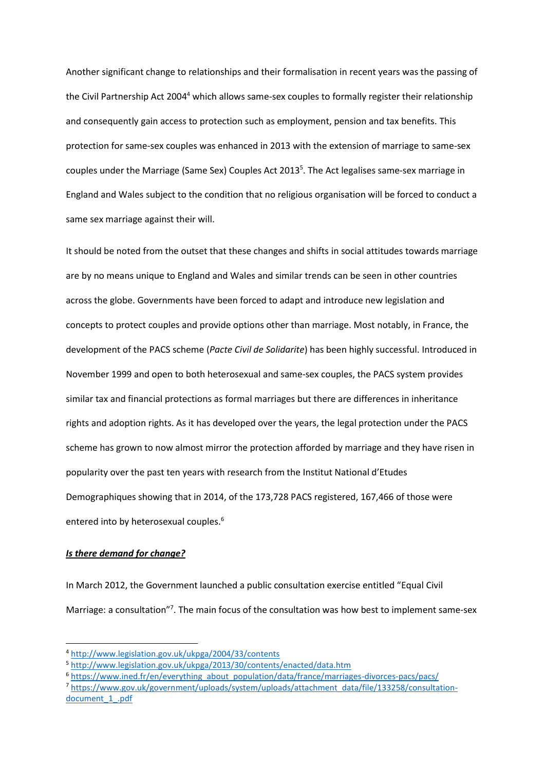Another significant change to relationships and their formalisation in recent years was the passing of the Civil Partnership Act 2004<sup>4</sup> which allows same-sex couples to formally register their relationship and consequently gain access to protection such as employment, pension and tax benefits. This protection for same-sex couples was enhanced in 2013 with the extension of marriage to same-sex couples under the Marriage (Same Sex) Couples Act 2013<sup>5</sup>. The Act legalises same-sex marriage in England and Wales subject to the condition that no religious organisation will be forced to conduct a same sex marriage against their will.

It should be noted from the outset that these changes and shifts in social attitudes towards marriage are by no means unique to England and Wales and similar trends can be seen in other countries across the globe. Governments have been forced to adapt and introduce new legislation and concepts to protect couples and provide options other than marriage. Most notably, in France, the development of the PACS scheme (*Pacte Civil de Solidarite*) has been highly successful. Introduced in November 1999 and open to both heterosexual and same-sex couples, the PACS system provides similar tax and financial protections as formal marriages but there are differences in inheritance rights and adoption rights. As it has developed over the years, the legal protection under the PACS scheme has grown to now almost mirror the protection afforded by marriage and they have risen in popularity over the past ten years with research from the Institut National d'Etudes Demographiques showing that in 2014, of the 173,728 PACS registered, 167,466 of those were entered into by heterosexual couples.<sup>6</sup>

#### *Is there demand for change?*

 $\overline{\phantom{a}}$ 

In March 2012, the Government launched a public consultation exercise entitled "Equal Civil Marriage: a consultation"<sup>7</sup>. The main focus of the consultation was how best to implement same-sex

<sup>4</sup> <http://www.legislation.gov.uk/ukpga/2004/33/contents>

<sup>5</sup> <http://www.legislation.gov.uk/ukpga/2013/30/contents/enacted/data.htm>

<sup>&</sup>lt;sup>6</sup> [https://www.ined.fr/en/everything\\_about\\_population/data/france/marriages-divorces-pacs/pacs/](https://www.ined.fr/en/everything_about_population/data/france/marriages-divorces-pacs/pacs/)

<sup>7</sup> [https://www.gov.uk/government/uploads/system/uploads/attachment\\_data/file/133258/consultation](https://www.gov.uk/government/uploads/system/uploads/attachment_data/file/133258/consultation-document_1_.pdf)[document\\_1\\_.pdf](https://www.gov.uk/government/uploads/system/uploads/attachment_data/file/133258/consultation-document_1_.pdf)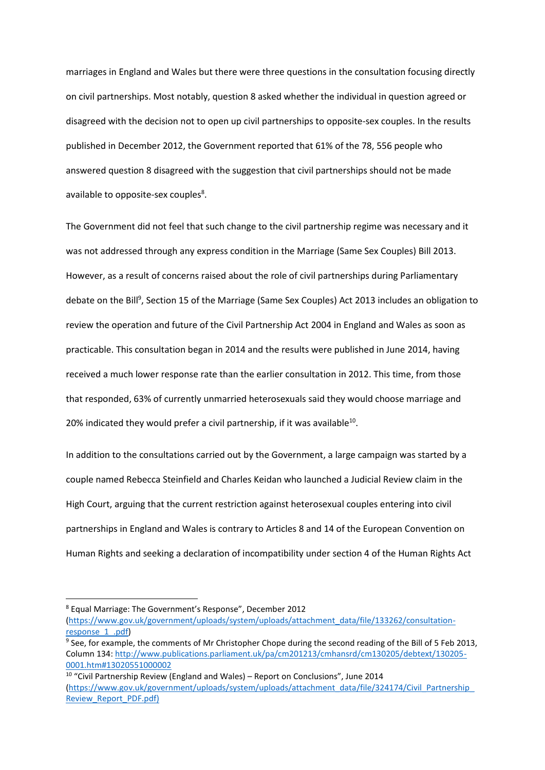marriages in England and Wales but there were three questions in the consultation focusing directly on civil partnerships. Most notably, question 8 asked whether the individual in question agreed or disagreed with the decision not to open up civil partnerships to opposite-sex couples. In the results published in December 2012, the Government reported that 61% of the 78, 556 people who answered question 8 disagreed with the suggestion that civil partnerships should not be made available to opposite-sex couples<sup>8</sup>.

The Government did not feel that such change to the civil partnership regime was necessary and it was not addressed through any express condition in the Marriage (Same Sex Couples) Bill 2013. However, as a result of concerns raised about the role of civil partnerships during Parliamentary debate on the Bill<sup>9</sup>, Section 15 of the Marriage (Same Sex Couples) Act 2013 includes an obligation to review the operation and future of the Civil Partnership Act 2004 in England and Wales as soon as practicable. This consultation began in 2014 and the results were published in June 2014, having received a much lower response rate than the earlier consultation in 2012. This time, from those that responded, 63% of currently unmarried heterosexuals said they would choose marriage and 20% indicated they would prefer a civil partnership, if it was available $^{10}$ .

In addition to the consultations carried out by the Government, a large campaign was started by a couple named Rebecca Steinfield and Charles Keidan who launched a Judicial Review claim in the High Court, arguing that the current restriction against heterosexual couples entering into civil partnerships in England and Wales is contrary to Articles 8 and 14 of the European Convention on Human Rights and seeking a declaration of incompatibility under section 4 of the Human Rights Act

1

<sup>8</sup> Equal Marriage: The Government's Response", December 2012

[<sup>\(</sup>https://www.gov.uk/government/uploads/system/uploads/attachment\\_data/file/133262/consultation](https://www.gov.uk/government/uploads/system/uploads/attachment_data/file/133262/consultation-response_1_.pdf)[response\\_1\\_.pdf\)](https://www.gov.uk/government/uploads/system/uploads/attachment_data/file/133262/consultation-response_1_.pdf)

<sup>&</sup>lt;sup>9</sup> See, for example, the comments of Mr Christopher Chope during the second reading of the Bill of 5 Feb 2013, Column 134: [http://www.publications.parliament.uk/pa/cm201213/cmhansrd/cm130205/debtext/130205-](http://www.publications.parliament.uk/pa/cm201213/cmhansrd/cm130205/debtext/130205-0001.htm#13020551000002) [0001.htm#13020551000002](http://www.publications.parliament.uk/pa/cm201213/cmhansrd/cm130205/debtext/130205-0001.htm#13020551000002)

<sup>10</sup> "Civil Partnership Review (England and Wales) – Report on Conclusions", June 2014 [\(https://www.gov.uk/government/uploads/system/uploads/attachment\\_data/file/324174/Civil\\_Partnership\\_](https://www.gov.uk/government/uploads/system/uploads/attachment_data/file/324174/Civil_Partnership_Review_Report_PDF.pdf) [Review\\_Report\\_PDF.pdf\)](https://www.gov.uk/government/uploads/system/uploads/attachment_data/file/324174/Civil_Partnership_Review_Report_PDF.pdf)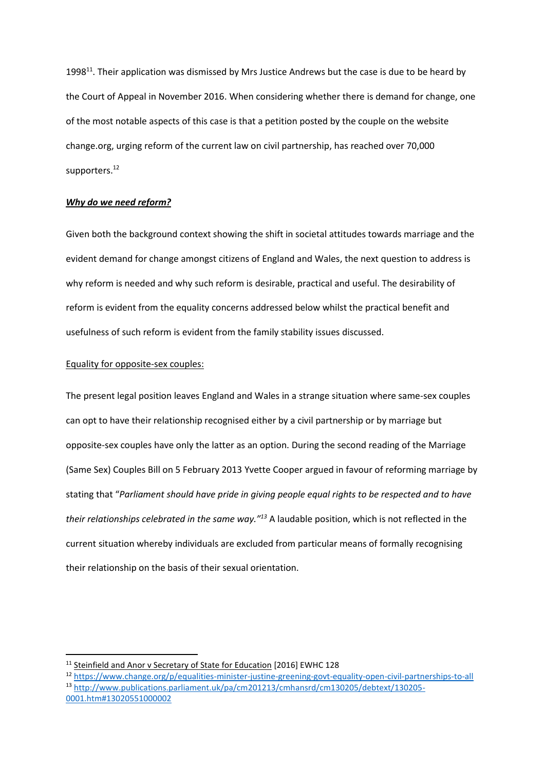1998<sup>11</sup>. Their application was dismissed by Mrs Justice Andrews but the case is due to be heard by the Court of Appeal in November 2016. When considering whether there is demand for change, one of the most notable aspects of this case is that a petition posted by the couple on the website change.org, urging reform of the current law on civil partnership, has reached over 70,000 supporters.<sup>12</sup>

#### *Why do we need reform?*

Given both the background context showing the shift in societal attitudes towards marriage and the evident demand for change amongst citizens of England and Wales, the next question to address is why reform is needed and why such reform is desirable, practical and useful. The desirability of reform is evident from the equality concerns addressed below whilst the practical benefit and usefulness of such reform is evident from the family stability issues discussed.

## Equality for opposite-sex couples:

**.** 

The present legal position leaves England and Wales in a strange situation where same-sex couples can opt to have their relationship recognised either by a civil partnership or by marriage but opposite-sex couples have only the latter as an option. During the second reading of the Marriage (Same Sex) Couples Bill on 5 February 2013 Yvette Cooper argued in favour of reforming marriage by stating that "*Parliament should have pride in giving people equal rights to be respected and to have their relationships celebrated in the same way."<sup>13</sup>* A laudable position, which is not reflected in the current situation whereby individuals are excluded from particular means of formally recognising their relationship on the basis of their sexual orientation.

<sup>&</sup>lt;sup>11</sup> Steinfield and Anor v Secretary of State for Education [2016] EWHC 128

<sup>12</sup> <https://www.change.org/p/equalities-minister-justine-greening-govt-equality-open-civil-partnerships-to-all> <sup>13</sup> [http://www.publications.parliament.uk/pa/cm201213/cmhansrd/cm130205/debtext/130205-](http://www.publications.parliament.uk/pa/cm201213/cmhansrd/cm130205/debtext/130205-0001.htm#13020551000002) [0001.htm#13020551000002](http://www.publications.parliament.uk/pa/cm201213/cmhansrd/cm130205/debtext/130205-0001.htm#13020551000002)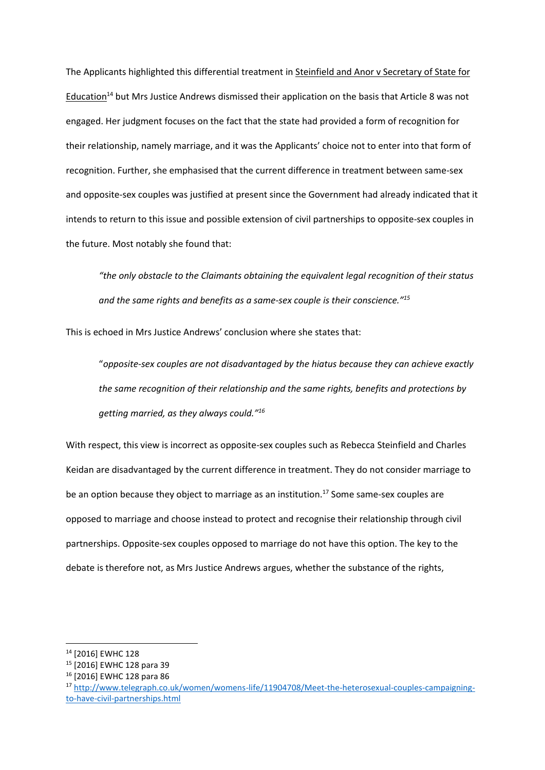The Applicants highlighted this differential treatment in Steinfield and Anor v Secretary of State for Education<sup>14</sup> but Mrs Justice Andrews dismissed their application on the basis that Article 8 was not engaged. Her judgment focuses on the fact that the state had provided a form of recognition for their relationship, namely marriage, and it was the Applicants' choice not to enter into that form of recognition. Further, she emphasised that the current difference in treatment between same-sex and opposite-sex couples was justified at present since the Government had already indicated that it intends to return to this issue and possible extension of civil partnerships to opposite-sex couples in the future. Most notably she found that:

*"the only obstacle to the Claimants obtaining the equivalent legal recognition of their status and the same rights and benefits as a same-sex couple is their conscience."<sup>15</sup>*

This is echoed in Mrs Justice Andrews' conclusion where she states that:

"*opposite-sex couples are not disadvantaged by the hiatus because they can achieve exactly the same recognition of their relationship and the same rights, benefits and protections by getting married, as they always could."<sup>16</sup>*

With respect, this view is incorrect as opposite-sex couples such as Rebecca Steinfield and Charles Keidan are disadvantaged by the current difference in treatment. They do not consider marriage to be an option because they object to marriage as an institution.<sup>17</sup> Some same-sex couples are opposed to marriage and choose instead to protect and recognise their relationship through civil partnerships. Opposite-sex couples opposed to marriage do not have this option. The key to the debate is therefore not, as Mrs Justice Andrews argues, whether the substance of the rights,

 $\overline{\phantom{a}}$ 

<sup>14</sup> [2016] EWHC 128

<sup>15</sup> [2016] EWHC 128 para 39

<sup>16</sup> [2016] EWHC 128 para 86

<sup>17</sup> [http://www.telegraph.co.uk/women/womens-life/11904708/Meet-the-heterosexual-couples-campaigning](http://www.telegraph.co.uk/women/womens-life/11904708/Meet-the-heterosexual-couples-campaigning-to-have-civil-partnerships.html)[to-have-civil-partnerships.html](http://www.telegraph.co.uk/women/womens-life/11904708/Meet-the-heterosexual-couples-campaigning-to-have-civil-partnerships.html)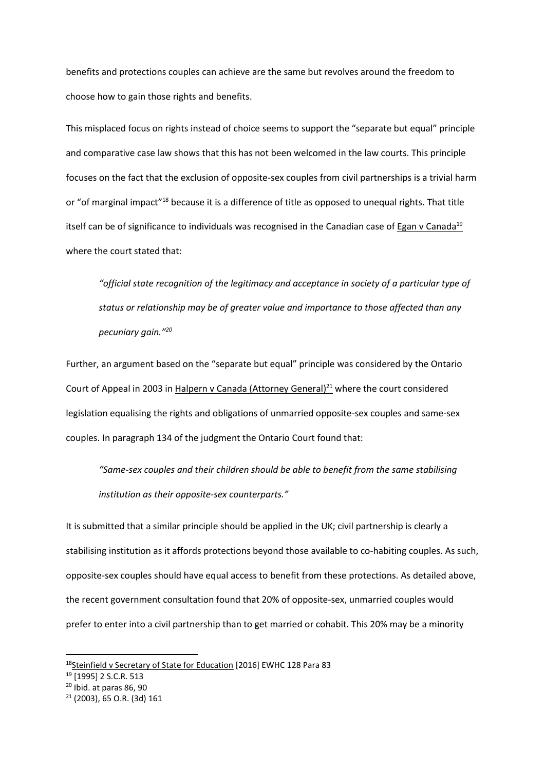benefits and protections couples can achieve are the same but revolves around the freedom to choose how to gain those rights and benefits.

This misplaced focus on rights instead of choice seems to support the "separate but equal" principle and comparative case law shows that this has not been welcomed in the law courts. This principle focuses on the fact that the exclusion of opposite-sex couples from civil partnerships is a trivial harm or "of marginal impact"<sup>18</sup> because it is a difference of title as opposed to unequal rights. That title itself can be of significance to individuals was recognised in the Canadian case of Egan v Canada<sup>19</sup> where the court stated that:

*"official state recognition of the legitimacy and acceptance in society of a particular type of status or relationship may be of greater value and importance to those affected than any pecuniary gain."<sup>20</sup>*

Further, an argument based on the "separate but equal" principle was considered by the Ontario Court of Appeal in 2003 in Halpern v Canada (Attorney General)<sup>21</sup> where the court considered legislation equalising the rights and obligations of unmarried opposite-sex couples and same-sex couples. In paragraph 134 of the judgment the Ontario Court found that:

*"Same-sex couples and their children should be able to benefit from the same stabilising institution as their opposite-sex counterparts."*

It is submitted that a similar principle should be applied in the UK; civil partnership is clearly a stabilising institution as it affords protections beyond those available to co-habiting couples. As such, opposite-sex couples should have equal access to benefit from these protections. As detailed above, the recent government consultation found that 20% of opposite-sex, unmarried couples would prefer to enter into a civil partnership than to get married or cohabit. This 20% may be a minority

**.** 

<sup>18</sup>Steinfield v Secretary of State for Education [2016] EWHC 128 Para 83

<sup>19</sup> [1995] 2 S.C.R. 513

<sup>20</sup> Ibid. at paras 86, 90

<sup>21</sup> (2003), 65 O.R. (3d) 161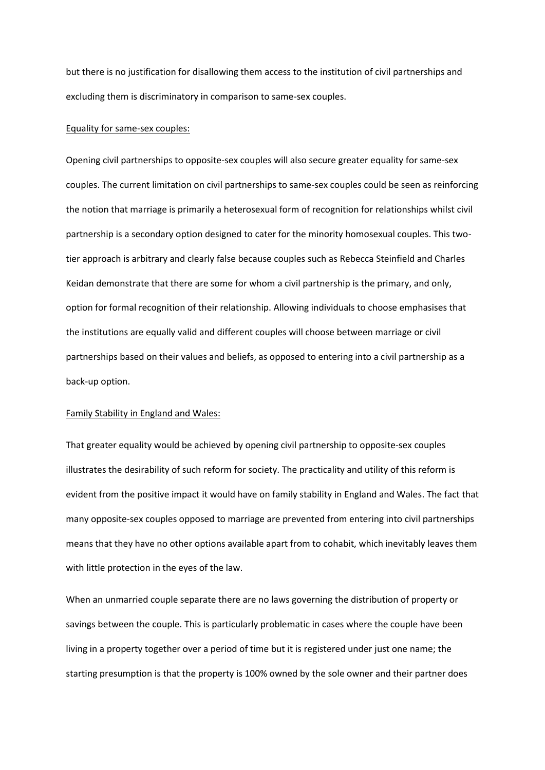but there is no justification for disallowing them access to the institution of civil partnerships and excluding them is discriminatory in comparison to same-sex couples.

### Equality for same-sex couples:

Opening civil partnerships to opposite-sex couples will also secure greater equality for same-sex couples. The current limitation on civil partnerships to same-sex couples could be seen as reinforcing the notion that marriage is primarily a heterosexual form of recognition for relationships whilst civil partnership is a secondary option designed to cater for the minority homosexual couples. This twotier approach is arbitrary and clearly false because couples such as Rebecca Steinfield and Charles Keidan demonstrate that there are some for whom a civil partnership is the primary, and only, option for formal recognition of their relationship. Allowing individuals to choose emphasises that the institutions are equally valid and different couples will choose between marriage or civil partnerships based on their values and beliefs, as opposed to entering into a civil partnership as a back-up option.

#### Family Stability in England and Wales:

That greater equality would be achieved by opening civil partnership to opposite-sex couples illustrates the desirability of such reform for society. The practicality and utility of this reform is evident from the positive impact it would have on family stability in England and Wales. The fact that many opposite-sex couples opposed to marriage are prevented from entering into civil partnerships means that they have no other options available apart from to cohabit, which inevitably leaves them with little protection in the eyes of the law.

When an unmarried couple separate there are no laws governing the distribution of property or savings between the couple. This is particularly problematic in cases where the couple have been living in a property together over a period of time but it is registered under just one name; the starting presumption is that the property is 100% owned by the sole owner and their partner does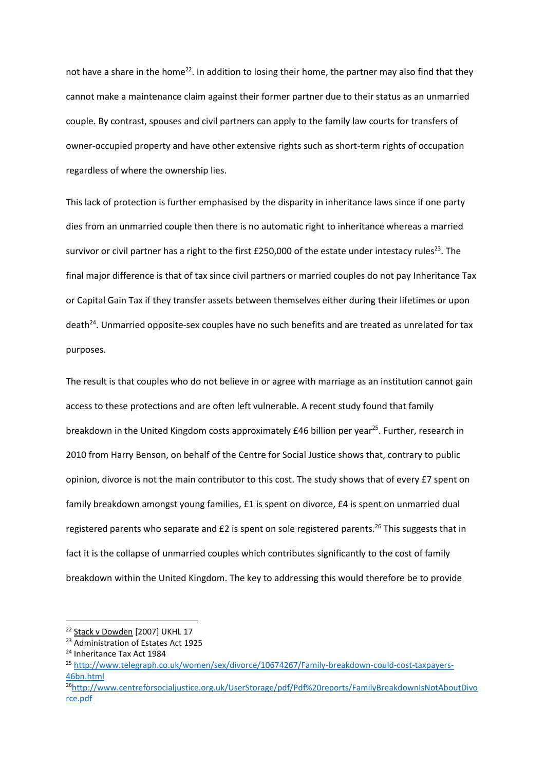not have a share in the home<sup>22</sup>. In addition to losing their home, the partner may also find that they cannot make a maintenance claim against their former partner due to their status as an unmarried couple. By contrast, spouses and civil partners can apply to the family law courts for transfers of owner-occupied property and have other extensive rights such as short-term rights of occupation regardless of where the ownership lies.

This lack of protection is further emphasised by the disparity in inheritance laws since if one party dies from an unmarried couple then there is no automatic right to inheritance whereas a married survivor or civil partner has a right to the first £250,000 of the estate under intestacy rules<sup>23</sup>. The final major difference is that of tax since civil partners or married couples do not pay Inheritance Tax or Capital Gain Tax if they transfer assets between themselves either during their lifetimes or upon death<sup>24</sup>. Unmarried opposite-sex couples have no such benefits and are treated as unrelated for tax purposes.

The result is that couples who do not believe in or agree with marriage as an institution cannot gain access to these protections and are often left vulnerable. A recent study found that family breakdown in the United Kingdom costs approximately £46 billion per year<sup>25</sup>. Further, research in 2010 from Harry Benson, on behalf of the Centre for Social Justice shows that, contrary to public opinion, divorce is not the main contributor to this cost. The study shows that of every £7 spent on family breakdown amongst young families, £1 is spent on divorce, £4 is spent on unmarried dual registered parents who separate and  $£2$  is spent on sole registered parents.<sup>26</sup> This suggests that in fact it is the collapse of unmarried couples which contributes significantly to the cost of family breakdown within the United Kingdom. The key to addressing this would therefore be to provide

 $\overline{\phantom{a}}$ 

<sup>&</sup>lt;sup>22</sup> Stack v Dowden [2007] UKHL 17

<sup>23</sup> Administration of Estates Act 1925

<sup>&</sup>lt;sup>24</sup> Inheritance Tax Act 1984

<sup>25</sup> [http://www.telegraph.co.uk/women/sex/divorce/10674267/Family-breakdown-could-cost-taxpayers-](http://www.telegraph.co.uk/women/sex/divorce/10674267/Family-breakdown-could-cost-taxpayers-46bn.html)[46bn.html](http://www.telegraph.co.uk/women/sex/divorce/10674267/Family-breakdown-could-cost-taxpayers-46bn.html)

<sup>26</sup>[http://www.centreforsocialjustice.org.uk/UserStorage/pdf/Pdf%20reports/FamilyBreakdownIsNotAboutDivo](http://www.centreforsocialjustice.org.uk/UserStorage/pdf/Pdf%20reports/FamilyBreakdownIsNotAboutDivorce.pdf) [rce.pdf](http://www.centreforsocialjustice.org.uk/UserStorage/pdf/Pdf%20reports/FamilyBreakdownIsNotAboutDivorce.pdf)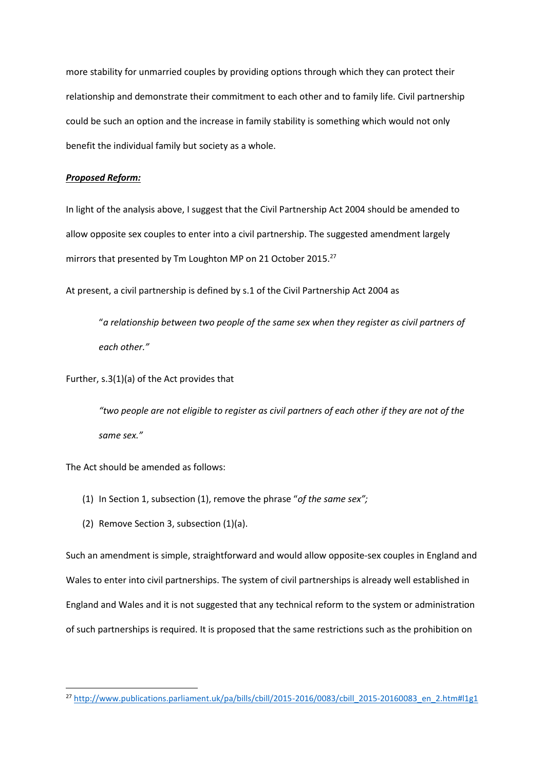more stability for unmarried couples by providing options through which they can protect their relationship and demonstrate their commitment to each other and to family life. Civil partnership could be such an option and the increase in family stability is something which would not only benefit the individual family but society as a whole.

## *Proposed Reform:*

In light of the analysis above, I suggest that the Civil Partnership Act 2004 should be amended to allow opposite sex couples to enter into a civil partnership. The suggested amendment largely mirrors that presented by Tm Loughton MP on 21 October 2015.<sup>27</sup>

At present, a civil partnership is defined by s.1 of the Civil Partnership Act 2004 as

"*a relationship between two people of the same sex when they register as civil partners of each other."* 

Further, s.3(1)(a) of the Act provides that

*"two people are not eligible to register as civil partners of each other if they are not of the same sex."*

The Act should be amended as follows:

**.** 

- (1) In Section 1, subsection (1), remove the phrase "*of the same sex";*
- (2) Remove Section 3, subsection (1)(a).

Such an amendment is simple, straightforward and would allow opposite-sex couples in England and Wales to enter into civil partnerships. The system of civil partnerships is already well established in England and Wales and it is not suggested that any technical reform to the system or administration of such partnerships is required. It is proposed that the same restrictions such as the prohibition on

<sup>&</sup>lt;sup>27</sup> [http://www.publications.parliament.uk/pa/bills/cbill/2015-2016/0083/cbill\\_2015-20160083\\_en\\_2.htm#l1g1](http://www.publications.parliament.uk/pa/bills/cbill/2015-2016/0083/cbill_2015-20160083_en_2.htm#l1g1)